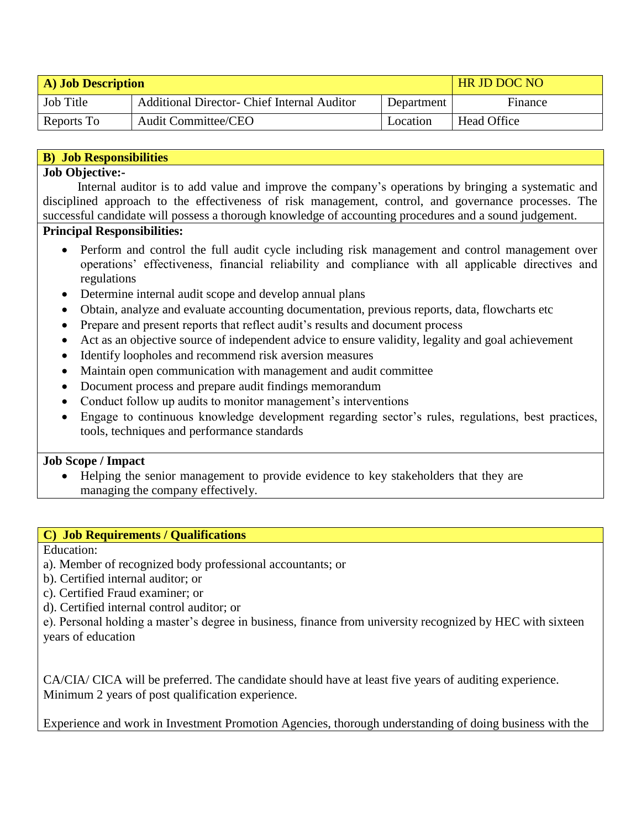| A) Job Description |                                                    |            | <b>HR JD DOC NO</b> |
|--------------------|----------------------------------------------------|------------|---------------------|
| Job Title          | <b>Additional Director- Chief Internal Auditor</b> | Department | Finance             |
| Reports To         | <b>Audit Committee/CEO</b>                         | Location   | <b>Head Office</b>  |

### **B) Job Responsibilities**

#### **Job Objective:-**

 Internal auditor is to add value and improve the company's operations by bringing a systematic and disciplined approach to the effectiveness of risk management, control, and governance processes. The successful candidate will possess a thorough knowledge of accounting procedures and a sound judgement.

# **Principal Responsibilities:**

- Perform and control the full audit cycle including risk management and control management over operations' effectiveness, financial reliability and compliance with all applicable directives and regulations
- Determine internal audit scope and develop annual plans
- Obtain, analyze and evaluate accounting documentation, previous reports, data, flowcharts etc
- Prepare and present reports that reflect audit's results and document process
- Act as an objective source of independent advice to ensure validity, legality and goal achievement
- Identify loopholes and recommend risk aversion measures
- Maintain open communication with management and audit committee
- Document process and prepare audit findings memorandum
- Conduct follow up audits to monitor management's interventions
- Engage to continuous knowledge development regarding sector's rules, regulations, best practices, tools, techniques and performance standards

#### **Job Scope / Impact**

 Helping the senior management to provide evidence to key stakeholders that they are managing the company effectively.

# **C) Job Requirements / Qualifications**

Education:

- a). Member of recognized body professional accountants; or
- b). Certified internal auditor; or
- c). Certified Fraud examiner; or
- d). Certified internal control auditor; or

e). Personal holding a master's degree in business, finance from university recognized by HEC with sixteen years of education

CA/CIA/ CICA will be preferred. The candidate should have at least five years of auditing experience. Minimum 2 years of post qualification experience.

Experience and work in Investment Promotion Agencies, thorough understanding of doing business with the